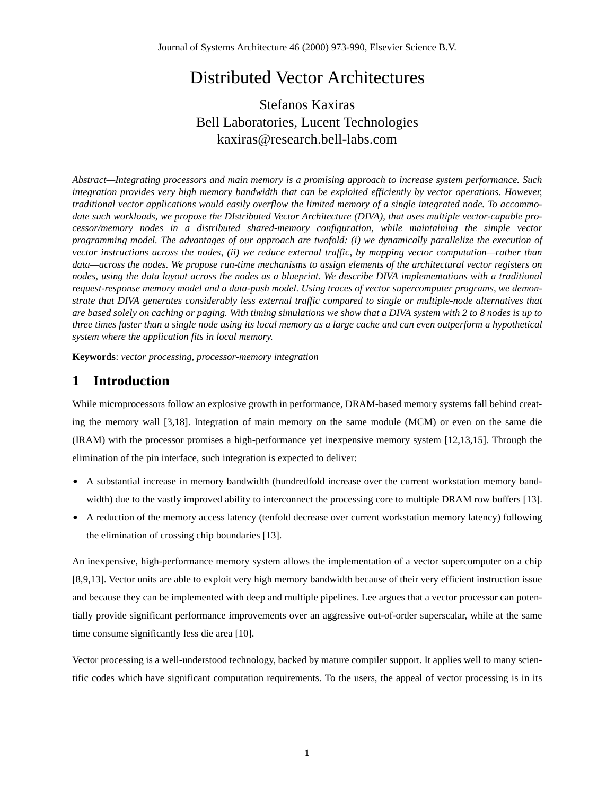# Distributed Vector Architectures

Stefanos Kaxiras Bell Laboratories, Lucent Technologies kaxiras@research.bell-labs.com

*Abstract—Integrating processors and main memory is a promising approach to increase system performance. Such integration provides very high memory bandwidth that can be exploited efficiently by vector operations. However, traditional vector applications would easily overflow the limited memory of a single integrated node. To accommodate such workloads, we propose the DIstributed Vector Architecture (DIVA), that uses multiple vector-capable processor/memory nodes in a distributed shared-memory configuration, while maintaining the simple vector programming model. The advantages of our approach are twofold: (i) we dynamically parallelize the execution of vector instructions across the nodes, (ii) we reduce external traffic, by mapping vector computation—rather than data—across the nodes. We propose run-time mechanisms to assign elements of the architectural vector registers on nodes, using the data layout across the nodes as a blueprint. We describe DIVA implementations with a traditional request-response memory model and a data-push model. Using traces of vector supercomputer programs, we demonstrate that DIVA generates considerably less external traffic compared to single or multiple-node alternatives that are based solely on caching or paging. With timing simulations we show that a DIVA system with 2 to 8 nodes is up to three times faster than a single node using its local memory as a large cache and can even outperform a hypothetical system where the application fits in local memory.*

**Keywords**: *vector processing, processor-memory integration*

# **1 Introduction**

While microprocessors follow an explosive growth in performance, DRAM-based memory systems fall behind creating the memory wall [3,18]. Integration of main memory on the same module (MCM) or even on the same die (IRAM) with the processor promises a high-performance yet inexpensive memory system [12,13,15]. Through the elimination of the pin interface, such integration is expected to deliver:

- **•** A substantial increase in memory bandwidth (hundredfold increase over the current workstation memory bandwidth) due to the vastly improved ability to interconnect the processing core to multiple DRAM row buffers [13].
- **•** A reduction of the memory access latency (tenfold decrease over current workstation memory latency) following the elimination of crossing chip boundaries [13].

An inexpensive, high-performance memory system allows the implementation of a vector supercomputer on a chip [8,9,13]. Vector units are able to exploit very high memory bandwidth because of their very efficient instruction issue and because they can be implemented with deep and multiple pipelines. Lee argues that a vector processor can potentially provide significant performance improvements over an aggressive out-of-order superscalar, while at the same time consume significantly less die area [10].

Vector processing is a well-understood technology, backed by mature compiler support. It applies well to many scientific codes which have significant computation requirements. To the users, the appeal of vector processing is in its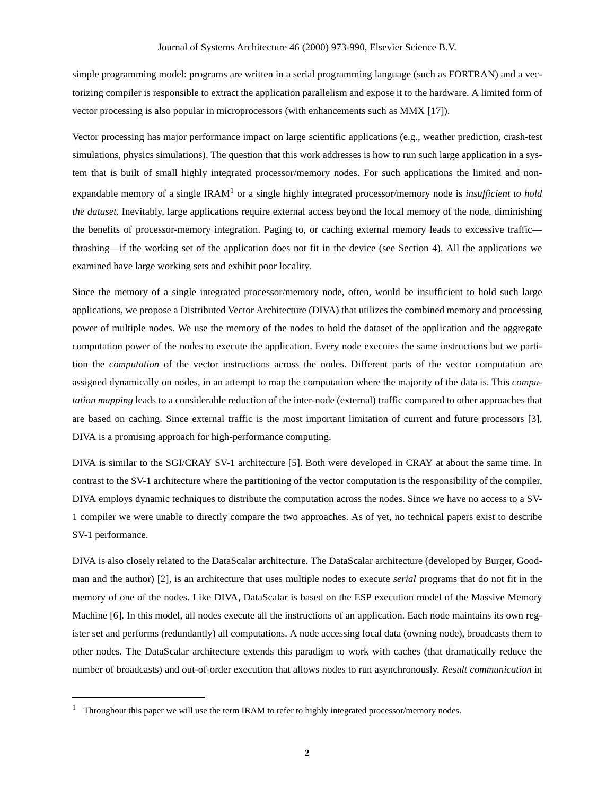simple programming model: programs are written in a serial programming language (such as FORTRAN) and a vectorizing compiler is responsible to extract the application parallelism and expose it to the hardware. A limited form of vector processing is also popular in microprocessors (with enhancements such as MMX [17]).

Vector processing has major performance impact on large scientific applications (e.g., weather prediction, crash-test simulations, physics simulations). The question that this work addresses is how to run such large application in a system that is built of small highly integrated processor/memory nodes. For such applications the limited and nonexpandable memory of a single IRAM<sup>1</sup> or a single highly integrated processor/memory node is *insufficient to hold the dataset*. Inevitably, large applications require external access beyond the local memory of the node, diminishing the benefits of processor-memory integration. Paging to, or caching external memory leads to excessive traffic thrashing—if the working set of the application does not fit in the device (see Section 4). All the applications we examined have large working sets and exhibit poor locality.

Since the memory of a single integrated processor/memory node, often, would be insufficient to hold such large applications, we propose a Distributed Vector Architecture (DIVA) that utilizes the combined memory and processing power of multiple nodes. We use the memory of the nodes to hold the dataset of the application and the aggregate computation power of the nodes to execute the application. Every node executes the same instructions but we partition the *computation* of the vector instructions across the nodes. Different parts of the vector computation are assigned dynamically on nodes, in an attempt to map the computation where the majority of the data is. This *computation mapping* leads to a considerable reduction of the inter-node (external) traffic compared to other approaches that are based on caching. Since external traffic is the most important limitation of current and future processors [3], DIVA is a promising approach for high-performance computing.

DIVA is similar to the SGI/CRAY SV-1 architecture [5]. Both were developed in CRAY at about the same time. In contrast to the SV-1 architecture where the partitioning of the vector computation is the responsibility of the compiler, DIVA employs dynamic techniques to distribute the computation across the nodes. Since we have no access to a SV-1 compiler we were unable to directly compare the two approaches. As of yet, no technical papers exist to describe SV-1 performance.

DIVA is also closely related to the DataScalar architecture. The DataScalar architecture (developed by Burger, Goodman and the author) [2], is an architecture that uses multiple nodes to execute *serial* programs that do not fit in the memory of one of the nodes. Like DIVA, DataScalar is based on the ESP execution model of the Massive Memory Machine [6]. In this model, all nodes execute all the instructions of an application. Each node maintains its own register set and performs (redundantly) all computations. A node accessing local data (owning node), broadcasts them to other nodes. The DataScalar architecture extends this paradigm to work with caches (that dramatically reduce the number of broadcasts) and out-of-order execution that allows nodes to run asynchronously. *Result communication* in

<sup>1</sup> Throughout this paper we will use the term IRAM to refer to highly integrated processor/memory nodes.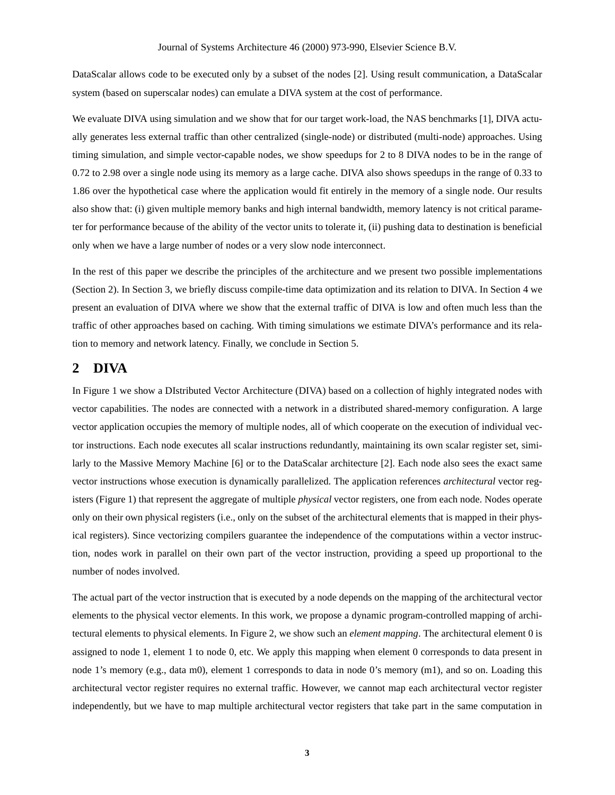DataScalar allows code to be executed only by a subset of the nodes [2]. Using result communication, a DataScalar system (based on superscalar nodes) can emulate a DIVA system at the cost of performance.

We evaluate DIVA using simulation and we show that for our target work-load, the NAS benchmarks [1], DIVA actually generates less external traffic than other centralized (single-node) or distributed (multi-node) approaches. Using timing simulation, and simple vector-capable nodes, we show speedups for 2 to 8 DIVA nodes to be in the range of 0.72 to 2.98 over a single node using its memory as a large cache. DIVA also shows speedups in the range of 0.33 to 1.86 over the hypothetical case where the application would fit entirely in the memory of a single node. Our results also show that: (i) given multiple memory banks and high internal bandwidth, memory latency is not critical parameter for performance because of the ability of the vector units to tolerate it, (ii) pushing data to destination is beneficial only when we have a large number of nodes or a very slow node interconnect.

In the rest of this paper we describe the principles of the architecture and we present two possible implementations (Section 2). In Section 3, we briefly discuss compile-time data optimization and its relation to DIVA. In Section 4 we present an evaluation of DIVA where we show that the external traffic of DIVA is low and often much less than the traffic of other approaches based on caching. With timing simulations we estimate DIVA's performance and its relation to memory and network latency. Finally, we conclude in Section 5.

# **2 DIVA**

In Figure 1 we show a DIstributed Vector Architecture (DIVA) based on a collection of highly integrated nodes with vector capabilities. The nodes are connected with a network in a distributed shared-memory configuration. A large vector application occupies the memory of multiple nodes, all of which cooperate on the execution of individual vector instructions. Each node executes all scalar instructions redundantly, maintaining its own scalar register set, similarly to the Massive Memory Machine [6] or to the DataScalar architecture [2]. Each node also sees the exact same vector instructions whose execution is dynamically parallelized. The application references *architectural* vector registers (Figure 1) that represent the aggregate of multiple *physical* vector registers, one from each node. Nodes operate only on their own physical registers (i.e., only on the subset of the architectural elements that is mapped in their physical registers). Since vectorizing compilers guarantee the independence of the computations within a vector instruction, nodes work in parallel on their own part of the vector instruction, providing a speed up proportional to the number of nodes involved.

The actual part of the vector instruction that is executed by a node depends on the mapping of the architectural vector elements to the physical vector elements. In this work, we propose a dynamic program-controlled mapping of architectural elements to physical elements. In Figure 2, we show such an *element mapping*. The architectural element 0 is assigned to node 1, element 1 to node 0, etc. We apply this mapping when element 0 corresponds to data present in node 1's memory (e.g., data m0), element 1 corresponds to data in node 0's memory (m1), and so on. Loading this architectural vector register requires no external traffic. However, we cannot map each architectural vector register independently, but we have to map multiple architectural vector registers that take part in the same computation in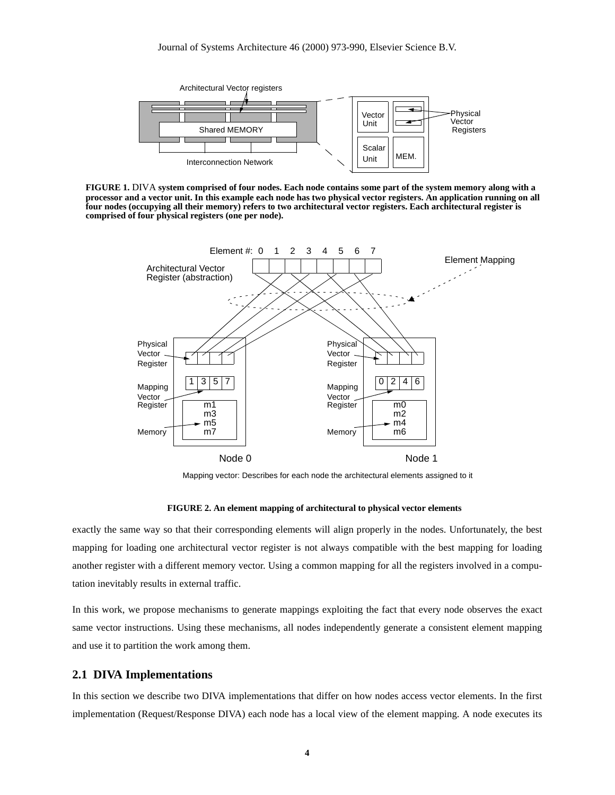

**FIGURE 1.** DIVA **system comprised of four nodes. Each node contains some part of the system memory along with a processor and a vector unit. In this example each node has two physical vector registers. An application running on all four nodes (occupying all their memory) refers to two architectural vector registers. Each architectural register is comprised of four physical registers (one per node).**



Mapping vector: Describes for each node the architectural elements assigned to it

#### **FIGURE 2. An element mapping of architectural to physical vector elements**

exactly the same way so that their corresponding elements will align properly in the nodes. Unfortunately, the best mapping for loading one architectural vector register is not always compatible with the best mapping for loading another register with a different memory vector. Using a common mapping for all the registers involved in a computation inevitably results in external traffic.

In this work, we propose mechanisms to generate mappings exploiting the fact that every node observes the exact same vector instructions. Using these mechanisms, all nodes independently generate a consistent element mapping and use it to partition the work among them.

#### **2.1 DIVA Implementations**

In this section we describe two DIVA implementations that differ on how nodes access vector elements. In the first implementation (Request/Response DIVA) each node has a local view of the element mapping. A node executes its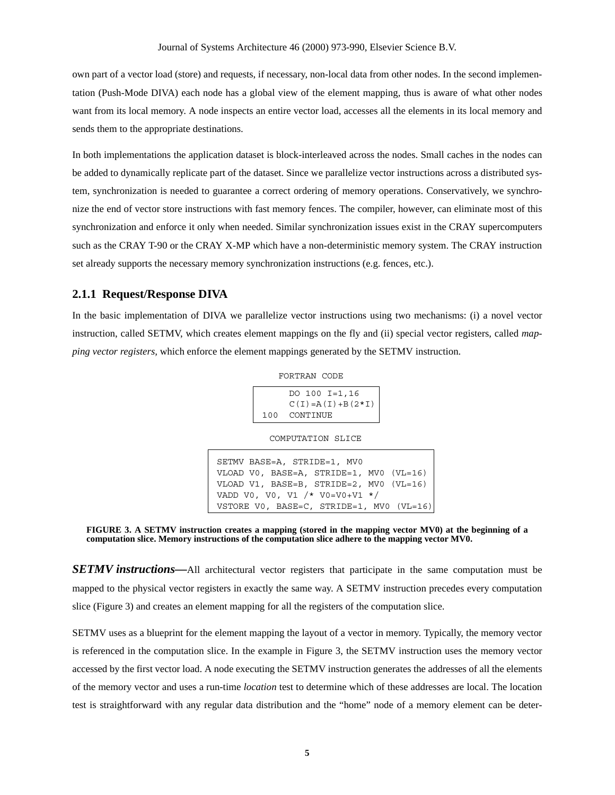own part of a vector load (store) and requests, if necessary, non-local data from other nodes. In the second implementation (Push-Mode DIVA) each node has a global view of the element mapping, thus is aware of what other nodes want from its local memory. A node inspects an entire vector load, accesses all the elements in its local memory and sends them to the appropriate destinations.

In both implementations the application dataset is block-interleaved across the nodes. Small caches in the nodes can be added to dynamically replicate part of the dataset. Since we parallelize vector instructions across a distributed system, synchronization is needed to guarantee a correct ordering of memory operations. Conservatively, we synchronize the end of vector store instructions with fast memory fences. The compiler, however, can eliminate most of this synchronization and enforce it only when needed. Similar synchronization issues exist in the CRAY supercomputers such as the CRAY T-90 or the CRAY X-MP which have a non-deterministic memory system. The CRAY instruction set already supports the necessary memory synchronization instructions (e.g. fences, etc.).

#### **2.1.1 Request/Response DIVA**

In the basic implementation of DIVA we parallelize vector instructions using two mechanisms: (i) a novel vector instruction, called SETMV, which creates element mappings on the fly and (ii) special vector registers, called *mapping vector registers,* which enforce the element mappings generated by the SETMV instruction.

FORTRAN CODE

DO 100 I=1,16  $C(I)=A(I)+B(2*I)$ 100 CONTINUE

COMPUTATION SLICE

```
SETMV BASE=A, STRIDE=1, MV0
VLOAD V0, BASE=A, STRIDE=1, MV0 (VL=16)
VLOAD V1, BASE=B, STRIDE=2, MV0 (VL=16)
VADD V0, V0, V1 /* V0=V0+V1 */
VSTORE V0, BASE=C, STRIDE=1, MV0 (VL=16)
```
**FIGURE 3. A SETMV instruction creates a mapping (stored in the mapping vector MV0) at the beginning of a computation slice. Memory instructions of the computation slice adhere to the mapping vector MV0.**

**SETMV instructions—All** architectural vector registers that participate in the same computation must be mapped to the physical vector registers in exactly the same way. A SETMV instruction precedes every computation slice (Figure 3) and creates an element mapping for all the registers of the computation slice.

SETMV uses as a blueprint for the element mapping the layout of a vector in memory. Typically, the memory vector is referenced in the computation slice. In the example in Figure 3, the SETMV instruction uses the memory vector accessed by the first vector load. A node executing the SETMV instruction generates the addresses of all the elements of the memory vector and uses a run-time *location* test to determine which of these addresses are local. The location test is straightforward with any regular data distribution and the "home" node of a memory element can be deter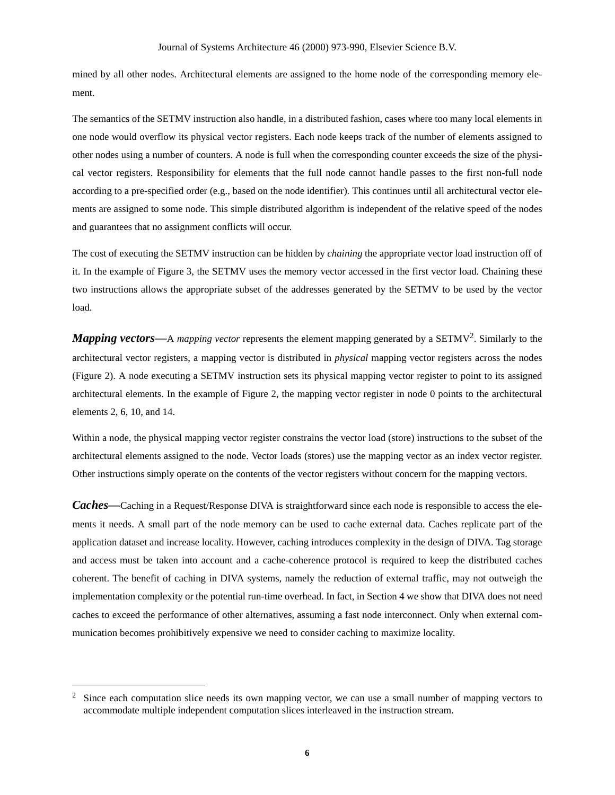mined by all other nodes. Architectural elements are assigned to the home node of the corresponding memory element.

The semantics of the SETMV instruction also handle, in a distributed fashion, cases where too many local elements in one node would overflow its physical vector registers. Each node keeps track of the number of elements assigned to other nodes using a number of counters. A node is full when the corresponding counter exceeds the size of the physical vector registers. Responsibility for elements that the full node cannot handle passes to the first non-full node according to a pre-specified order (e.g., based on the node identifier). This continues until all architectural vector elements are assigned to some node. This simple distributed algorithm is independent of the relative speed of the nodes and guarantees that no assignment conflicts will occur.

The cost of executing the SETMV instruction can be hidden by *chaining* the appropriate vector load instruction off of it. In the example of Figure 3, the SETMV uses the memory vector accessed in the first vector load. Chaining these two instructions allows the appropriate subset of the addresses generated by the SETMV to be used by the vector load.

*Mapping vectors—A mapping vector* represents the element mapping generated by a SETMV<sup>2</sup>. Similarly to the architectural vector registers, a mapping vector is distributed in *physical* mapping vector registers across the nodes (Figure 2). A node executing a SETMV instruction sets its physical mapping vector register to point to its assigned architectural elements. In the example of Figure 2, the mapping vector register in node 0 points to the architectural elements 2, 6, 10, and 14.

Within a node, the physical mapping vector register constrains the vector load (store) instructions to the subset of the architectural elements assigned to the node. Vector loads (stores) use the mapping vector as an index vector register. Other instructions simply operate on the contents of the vector registers without concern for the mapping vectors.

*Caches—*Caching in a Request/Response DIVA is straightforward since each node is responsible to access the elements it needs. A small part of the node memory can be used to cache external data. Caches replicate part of the application dataset and increase locality. However, caching introduces complexity in the design of DIVA. Tag storage and access must be taken into account and a cache-coherence protocol is required to keep the distributed caches coherent. The benefit of caching in DIVA systems, namely the reduction of external traffic, may not outweigh the implementation complexity or the potential run-time overhead. In fact, in Section 4 we show that DIVA does not need caches to exceed the performance of other alternatives, assuming a fast node interconnect. Only when external communication becomes prohibitively expensive we need to consider caching to maximize locality.

<sup>2</sup> Since each computation slice needs its own mapping vector, we can use a small number of mapping vectors to accommodate multiple independent computation slices interleaved in the instruction stream.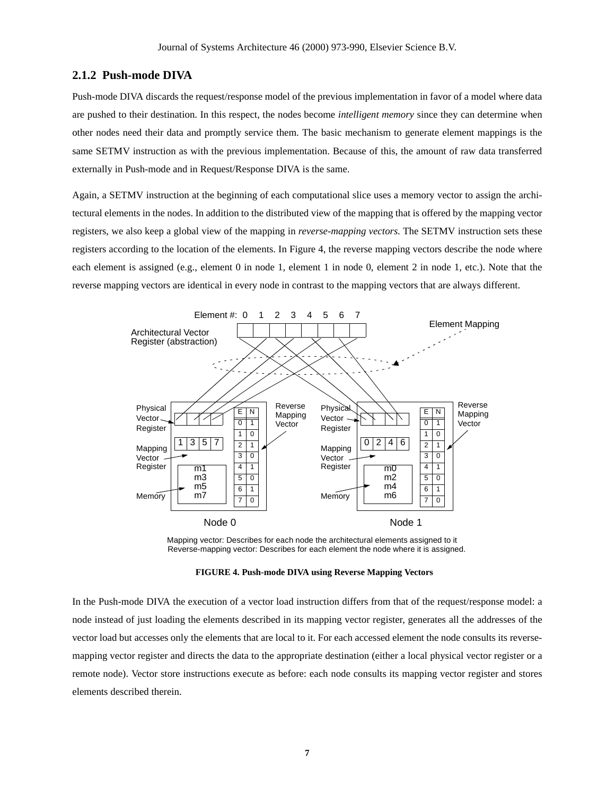#### **2.1.2 Push-mode DIVA**

Push-mode DIVA discards the request/response model of the previous implementation in favor of a model where data are pushed to their destination. In this respect, the nodes become *intelligent memory* since they can determine when other nodes need their data and promptly service them. The basic mechanism to generate element mappings is the same SETMV instruction as with the previous implementation. Because of this, the amount of raw data transferred externally in Push-mode and in Request/Response DIVA is the same.

Again, a SETMV instruction at the beginning of each computational slice uses a memory vector to assign the architectural elements in the nodes. In addition to the distributed view of the mapping that is offered by the mapping vector registers, we also keep a global view of the mapping in *reverse-mapping vectors*. The SETMV instruction sets these registers according to the location of the elements. In Figure 4, the reverse mapping vectors describe the node where each element is assigned (e.g., element 0 in node 1, element 1 in node 0, element 2 in node 1, etc.). Note that the reverse mapping vectors are identical in every node in contrast to the mapping vectors that are always different.



Mapping vector: Describes for each node the architectural elements assigned to it Reverse-mapping vector: Describes for each element the node where it is assigned.

**FIGURE 4. Push-mode DIVA using Reverse Mapping Vectors**

In the Push-mode DIVA the execution of a vector load instruction differs from that of the request/response model: a node instead of just loading the elements described in its mapping vector register, generates all the addresses of the vector load but accesses only the elements that are local to it. For each accessed element the node consults its reversemapping vector register and directs the data to the appropriate destination (either a local physical vector register or a remote node). Vector store instructions execute as before: each node consults its mapping vector register and stores elements described therein.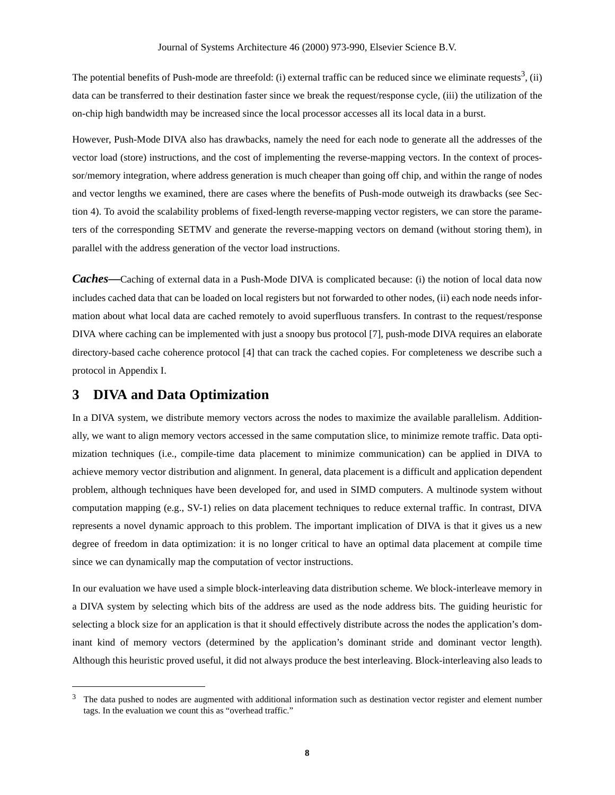The potential benefits of Push-mode are threefold: (i) external traffic can be reduced since we eliminate requests<sup>3</sup>, (ii) data can be transferred to their destination faster since we break the request/response cycle, (iii) the utilization of the on-chip high bandwidth may be increased since the local processor accesses all its local data in a burst.

However, Push-Mode DIVA also has drawbacks, namely the need for each node to generate all the addresses of the vector load (store) instructions, and the cost of implementing the reverse-mapping vectors. In the context of processor/memory integration, where address generation is much cheaper than going off chip, and within the range of nodes and vector lengths we examined, there are cases where the benefits of Push-mode outweigh its drawbacks (see Section 4). To avoid the scalability problems of fixed-length reverse-mapping vector registers, we can store the parameters of the corresponding SETMV and generate the reverse-mapping vectors on demand (without storing them), in parallel with the address generation of the vector load instructions.

*Caches—*Caching of external data in a Push-Mode DIVA is complicated because: (i) the notion of local data now includes cached data that can be loaded on local registers but not forwarded to other nodes, (ii) each node needs information about what local data are cached remotely to avoid superfluous transfers. In contrast to the request/response DIVA where caching can be implemented with just a snoopy bus protocol [7], push-mode DIVA requires an elaborate directory-based cache coherence protocol [4] that can track the cached copies. For completeness we describe such a protocol in Appendix I.

# **3 DIVA and Data Optimization**

In a DIVA system, we distribute memory vectors across the nodes to maximize the available parallelism. Additionally, we want to align memory vectors accessed in the same computation slice, to minimize remote traffic. Data optimization techniques (i.e., compile-time data placement to minimize communication) can be applied in DIVA to achieve memory vector distribution and alignment. In general, data placement is a difficult and application dependent problem, although techniques have been developed for, and used in SIMD computers. A multinode system without computation mapping (e.g., SV-1) relies on data placement techniques to reduce external traffic. In contrast, DIVA represents a novel dynamic approach to this problem. The important implication of DIVA is that it gives us a new degree of freedom in data optimization: it is no longer critical to have an optimal data placement at compile time since we can dynamically map the computation of vector instructions.

In our evaluation we have used a simple block-interleaving data distribution scheme. We block-interleave memory in a DIVA system by selecting which bits of the address are used as the node address bits. The guiding heuristic for selecting a block size for an application is that it should effectively distribute across the nodes the application's dominant kind of memory vectors (determined by the application's dominant stride and dominant vector length). Although this heuristic proved useful, it did not always produce the best interleaving. Block-interleaving also leads to

 $3$  The data pushed to nodes are augmented with additional information such as destination vector register and element number tags. In the evaluation we count this as "overhead traffic."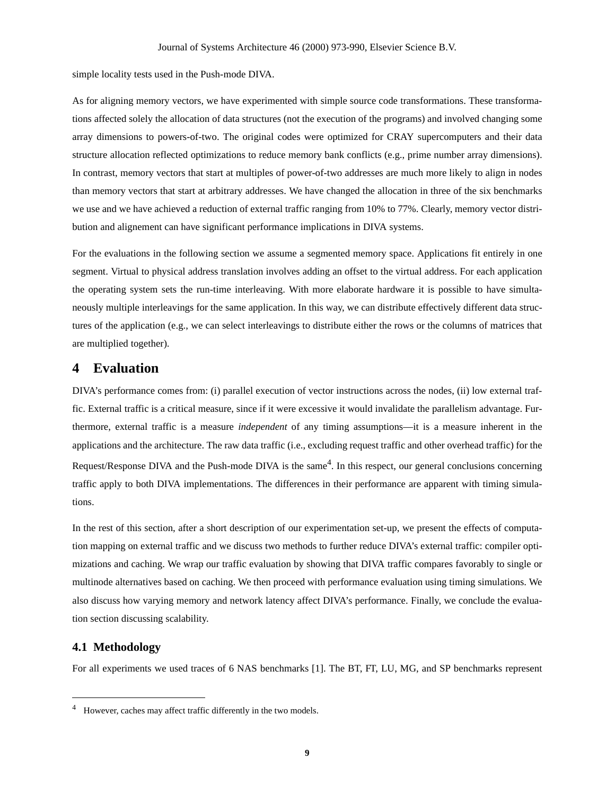simple locality tests used in the Push-mode DIVA.

As for aligning memory vectors, we have experimented with simple source code transformations. These transformations affected solely the allocation of data structures (not the execution of the programs) and involved changing some array dimensions to powers-of-two. The original codes were optimized for CRAY supercomputers and their data structure allocation reflected optimizations to reduce memory bank conflicts (e.g., prime number array dimensions). In contrast, memory vectors that start at multiples of power-of-two addresses are much more likely to align in nodes than memory vectors that start at arbitrary addresses. We have changed the allocation in three of the six benchmarks we use and we have achieved a reduction of external traffic ranging from 10% to 77%. Clearly, memory vector distribution and alignement can have significant performance implications in DIVA systems.

For the evaluations in the following section we assume a segmented memory space. Applications fit entirely in one segment. Virtual to physical address translation involves adding an offset to the virtual address. For each application the operating system sets the run-time interleaving. With more elaborate hardware it is possible to have simultaneously multiple interleavings for the same application. In this way, we can distribute effectively different data structures of the application (e.g., we can select interleavings to distribute either the rows or the columns of matrices that are multiplied together).

# **4 Evaluation**

DIVA's performance comes from: (i) parallel execution of vector instructions across the nodes, (ii) low external traffic. External traffic is a critical measure, since if it were excessive it would invalidate the parallelism advantage. Furthermore, external traffic is a measure *independent* of any timing assumptions—it is a measure inherent in the applications and the architecture. The raw data traffic (i.e., excluding request traffic and other overhead traffic) for the Request/Response DIVA and the Push-mode DIVA is the same<sup>4</sup>. In this respect, our general conclusions concerning traffic apply to both DIVA implementations. The differences in their performance are apparent with timing simulations.

In the rest of this section, after a short description of our experimentation set-up, we present the effects of computation mapping on external traffic and we discuss two methods to further reduce DIVA's external traffic: compiler optimizations and caching. We wrap our traffic evaluation by showing that DIVA traffic compares favorably to single or multinode alternatives based on caching. We then proceed with performance evaluation using timing simulations. We also discuss how varying memory and network latency affect DIVA's performance. Finally, we conclude the evaluation section discussing scalability.

#### **4.1 Methodology**

For all experiments we used traces of 6 NAS benchmarks [1]. The BT, FT, LU, MG, and SP benchmarks represent

However, caches may affect traffic differently in the two models.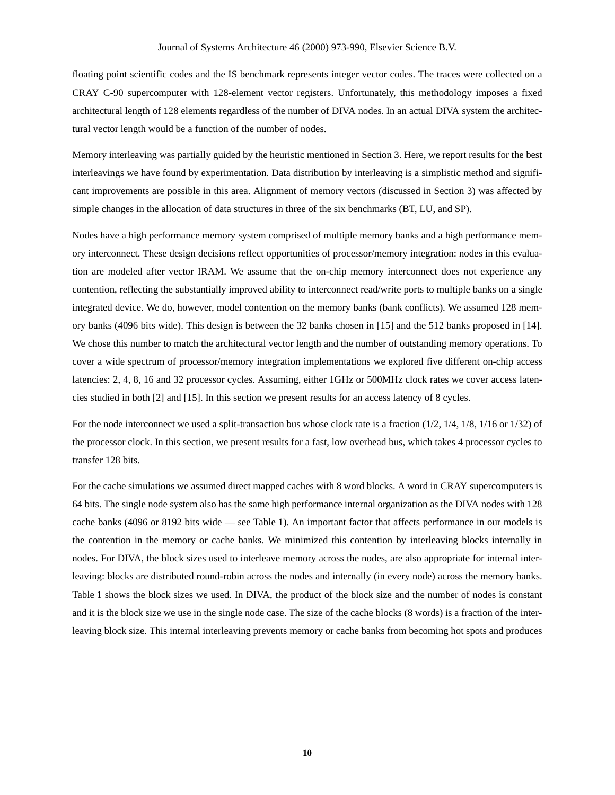floating point scientific codes and the IS benchmark represents integer vector codes. The traces were collected on a CRAY C-90 supercomputer with 128-element vector registers. Unfortunately, this methodology imposes a fixed architectural length of 128 elements regardless of the number of DIVA nodes. In an actual DIVA system the architectural vector length would be a function of the number of nodes.

Memory interleaving was partially guided by the heuristic mentioned in Section 3. Here, we report results for the best interleavings we have found by experimentation. Data distribution by interleaving is a simplistic method and significant improvements are possible in this area. Alignment of memory vectors (discussed in Section 3) was affected by simple changes in the allocation of data structures in three of the six benchmarks (BT, LU, and SP).

Nodes have a high performance memory system comprised of multiple memory banks and a high performance memory interconnect. These design decisions reflect opportunities of processor/memory integration: nodes in this evaluation are modeled after vector IRAM. We assume that the on-chip memory interconnect does not experience any contention, reflecting the substantially improved ability to interconnect read/write ports to multiple banks on a single integrated device. We do, however, model contention on the memory banks (bank conflicts). We assumed 128 memory banks (4096 bits wide). This design is between the 32 banks chosen in [15] and the 512 banks proposed in [14]. We chose this number to match the architectural vector length and the number of outstanding memory operations. To cover a wide spectrum of processor/memory integration implementations we explored five different on-chip access latencies: 2, 4, 8, 16 and 32 processor cycles. Assuming, either 1GHz or 500MHz clock rates we cover access latencies studied in both [2] and [15]. In this section we present results for an access latency of 8 cycles.

For the node interconnect we used a split-transaction bus whose clock rate is a fraction (1/2, 1/4, 1/8, 1/16 or 1/32) of the processor clock. In this section, we present results for a fast, low overhead bus, which takes 4 processor cycles to transfer 128 bits.

For the cache simulations we assumed direct mapped caches with 8 word blocks. A word in CRAY supercomputers is 64 bits. The single node system also has the same high performance internal organization as the DIVA nodes with 128 cache banks (4096 or 8192 bits wide — see Table 1). An important factor that affects performance in our models is the contention in the memory or cache banks. We minimized this contention by interleaving blocks internally in nodes. For DIVA, the block sizes used to interleave memory across the nodes, are also appropriate for internal interleaving: blocks are distributed round-robin across the nodes and internally (in every node) across the memory banks. Table 1 shows the block sizes we used. In DIVA, the product of the block size and the number of nodes is constant and it is the block size we use in the single node case. The size of the cache blocks (8 words) is a fraction of the interleaving block size. This internal interleaving prevents memory or cache banks from becoming hot spots and produces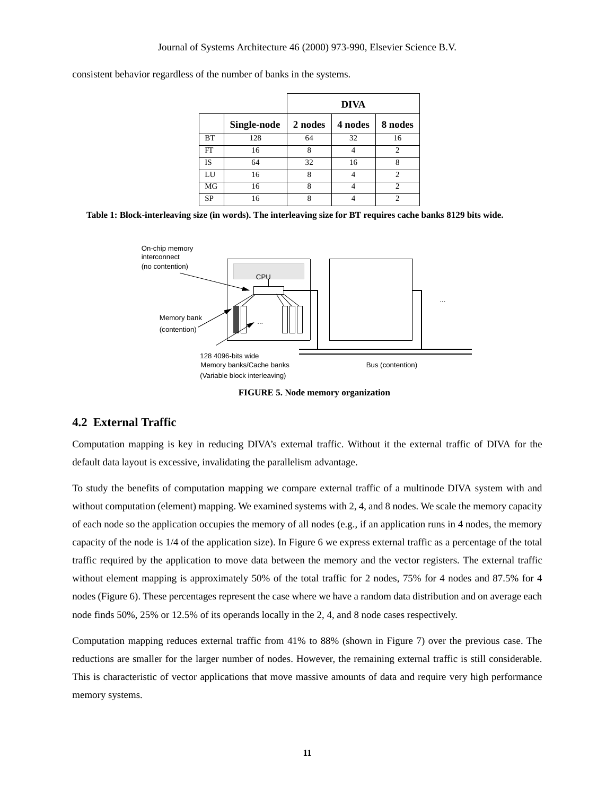consistent behavior regardless of the number of banks in the systems.

|           |             | <b>DIVA</b> |         |                |
|-----------|-------------|-------------|---------|----------------|
|           | Single-node | 2 nodes     | 4 nodes | 8 nodes        |
| BT        | 128         | 64          | 32      | 16             |
| FT        | 16          | 8           |         | $\mathfrak{D}$ |
| IS        | 64          | 32          | 16      | 8              |
| LU        | 16          | 8           |         | 2              |
| MG        | 16          | 8           |         | 2              |
| <b>SP</b> | 16          | 8           |         |                |

**Table 1: Block-interleaving size (in words). The interleaving size for BT requires cache banks 8129 bits wide.**



**FIGURE 5. Node memory organization**

## **4.2 External Traffic**

Computation mapping is key in reducing DIVA's external traffic. Without it the external traffic of DIVA for the default data layout is excessive, invalidating the parallelism advantage.

To study the benefits of computation mapping we compare external traffic of a multinode DIVA system with and without computation (element) mapping. We examined systems with 2, 4, and 8 nodes. We scale the memory capacity of each node so the application occupies the memory of all nodes (e.g., if an application runs in 4 nodes, the memory capacity of the node is 1/4 of the application size). In Figure 6 we express external traffic as a percentage of the total traffic required by the application to move data between the memory and the vector registers. The external traffic without element mapping is approximately 50% of the total traffic for 2 nodes, 75% for 4 nodes and 87.5% for 4 nodes (Figure 6). These percentages represent the case where we have a random data distribution and on average each node finds 50%, 25% or 12.5% of its operands locally in the 2, 4, and 8 node cases respectively.

Computation mapping reduces external traffic from 41% to 88% (shown in Figure 7) over the previous case. The reductions are smaller for the larger number of nodes. However, the remaining external traffic is still considerable. This is characteristic of vector applications that move massive amounts of data and require very high performance memory systems.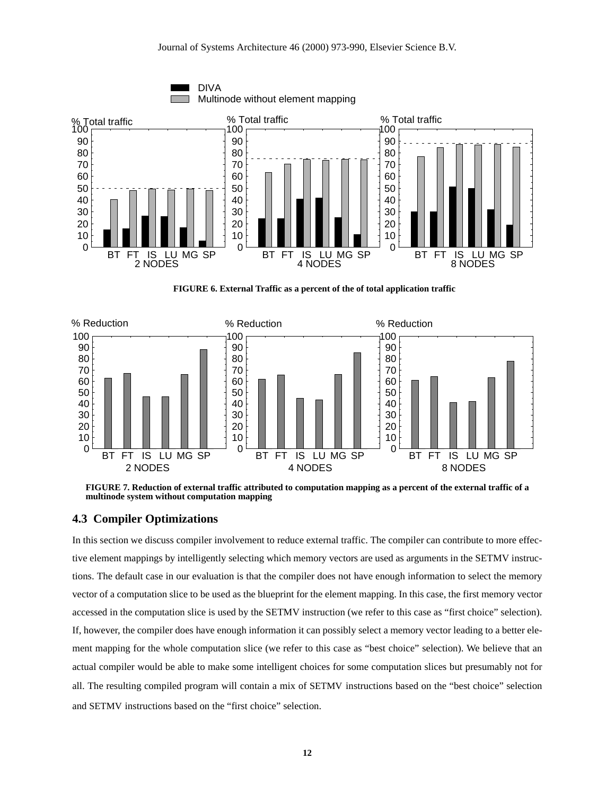

**FIGURE 6. External Traffic as a percent of the of total application traffic**



**FIGURE 7. Reduction of external traffic attributed to computation mapping as a percent of the external traffic of a multinode system without computation mapping**

#### **4.3 Compiler Optimizations**

In this section we discuss compiler involvement to reduce external traffic. The compiler can contribute to more effective element mappings by intelligently selecting which memory vectors are used as arguments in the SETMV instructions. The default case in our evaluation is that the compiler does not have enough information to select the memory vector of a computation slice to be used as the blueprint for the element mapping. In this case, the first memory vector accessed in the computation slice is used by the SETMV instruction (we refer to this case as "first choice" selection). If, however, the compiler does have enough information it can possibly select a memory vector leading to a better element mapping for the whole computation slice (we refer to this case as "best choice" selection). We believe that an actual compiler would be able to make some intelligent choices for some computation slices but presumably not for all. The resulting compiled program will contain a mix of SETMV instructions based on the "best choice" selection and SETMV instructions based on the "first choice" selection.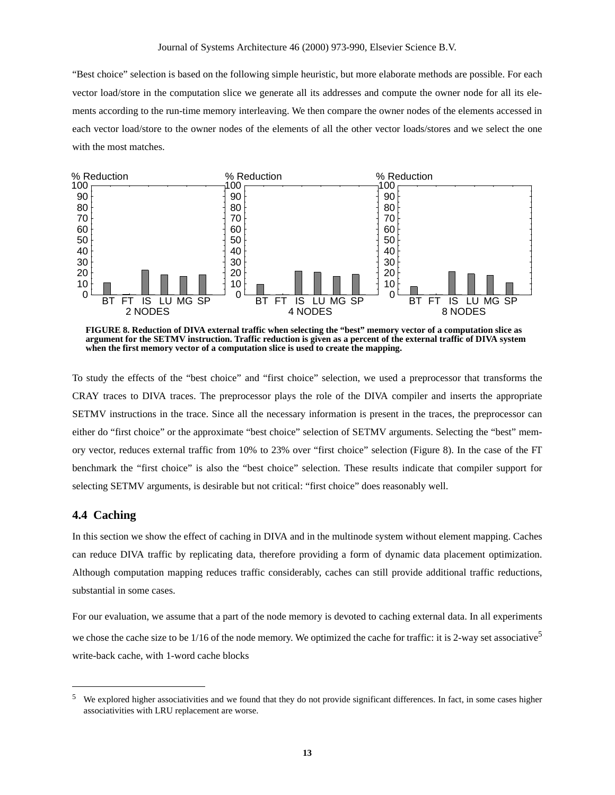"Best choice" selection is based on the following simple heuristic, but more elaborate methods are possible. For each vector load/store in the computation slice we generate all its addresses and compute the owner node for all its elements according to the run-time memory interleaving. We then compare the owner nodes of the elements accessed in each vector load/store to the owner nodes of the elements of all the other vector loads/stores and we select the one with the most matches.



**FIGURE 8. Reduction of DIVA external traffic when selecting the "best" memory vector of a computation slice as argument for the SETMV instruction. Traffic reduction is given as a percent of the external traffic of DIVA system when the first memory vector of a computation slice is used to create the mapping.**

To study the effects of the "best choice" and "first choice" selection, we used a preprocessor that transforms the CRAY traces to DIVA traces. The preprocessor plays the role of the DIVA compiler and inserts the appropriate SETMV instructions in the trace. Since all the necessary information is present in the traces, the preprocessor can either do "first choice" or the approximate "best choice" selection of SETMV arguments. Selecting the "best" memory vector, reduces external traffic from 10% to 23% over "first choice" selection (Figure 8). In the case of the FT benchmark the "first choice" is also the "best choice" selection. These results indicate that compiler support for selecting SETMV arguments, is desirable but not critical: "first choice" does reasonably well.

## **4.4 Caching**

In this section we show the effect of caching in DIVA and in the multinode system without element mapping. Caches can reduce DIVA traffic by replicating data, therefore providing a form of dynamic data placement optimization. Although computation mapping reduces traffic considerably, caches can still provide additional traffic reductions, substantial in some cases.

For our evaluation, we assume that a part of the node memory is devoted to caching external data. In all experiments we chose the cache size to be  $1/16$  of the node memory. We optimized the cache for traffic: it is 2-way set associative<sup>5</sup> write-back cache, with 1-word cache blocks

 $5$  We explored higher associativities and we found that they do not provide significant differences. In fact, in some cases higher associativities with LRU replacement are worse.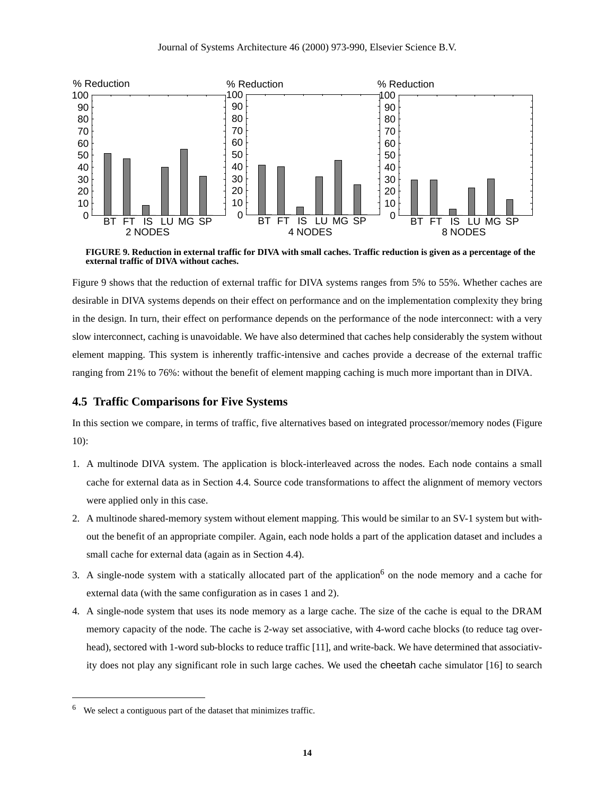

**FIGURE 9. Reduction in external traffic for DIVA with small caches. Traffic reduction is given as a percentage of the external traffic of DIVA without caches.**

Figure 9 shows that the reduction of external traffic for DIVA systems ranges from 5% to 55%. Whether caches are desirable in DIVA systems depends on their effect on performance and on the implementation complexity they bring in the design. In turn, their effect on performance depends on the performance of the node interconnect: with a very slow interconnect, caching is unavoidable. We have also determined that caches help considerably the system without element mapping. This system is inherently traffic-intensive and caches provide a decrease of the external traffic ranging from 21% to 76%: without the benefit of element mapping caching is much more important than in DIVA.

## **4.5 Traffic Comparisons for Five Systems**

In this section we compare, in terms of traffic, five alternatives based on integrated processor/memory nodes (Figure 10):

- 1. A multinode DIVA system. The application is block-interleaved across the nodes. Each node contains a small cache for external data as in Section 4.4. Source code transformations to affect the alignment of memory vectors were applied only in this case.
- 2. A multinode shared-memory system without element mapping. This would be similar to an SV-1 system but without the benefit of an appropriate compiler. Again, each node holds a part of the application dataset and includes a small cache for external data (again as in Section 4.4).
- 3. A single-node system with a statically allocated part of the application<sup>6</sup> on the node memory and a cache for external data (with the same configuration as in cases 1 and 2).
- 4. A single-node system that uses its node memory as a large cache. The size of the cache is equal to the DRAM memory capacity of the node. The cache is 2-way set associative, with 4-word cache blocks (to reduce tag overhead), sectored with 1-word sub-blocks to reduce traffic [11], and write-back. We have determined that associativity does not play any significant role in such large caches. We used the cheetah cache simulator [16] to search

<sup>6</sup> We select a contiguous part of the dataset that minimizes traffic.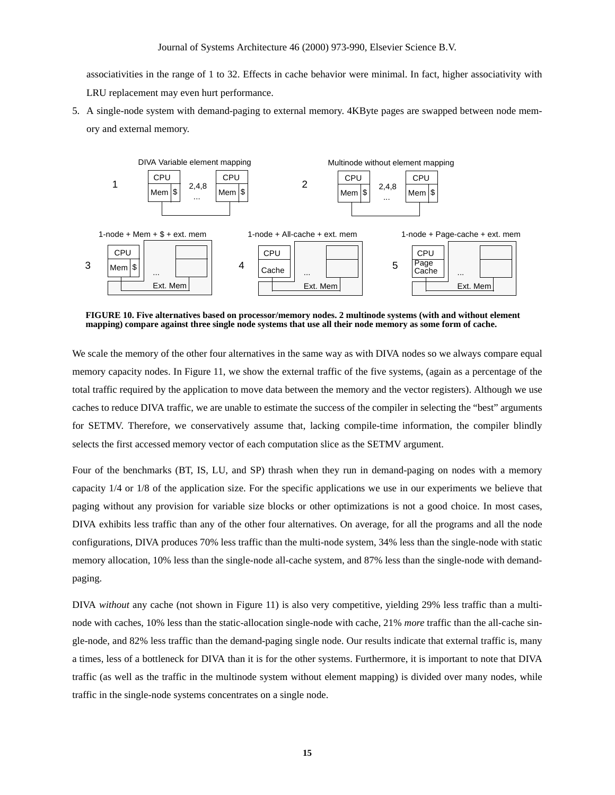associativities in the range of 1 to 32. Effects in cache behavior were minimal. In fact, higher associativity with LRU replacement may even hurt performance.

5. A single-node system with demand-paging to external memory. 4KByte pages are swapped between node memory and external memory.



**FIGURE 10. Five alternatives based on processor/memory nodes. 2 multinode systems (with and without element mapping) compare against three single node systems that use all their node memory as some form of cache.**

We scale the memory of the other four alternatives in the same way as with DIVA nodes so we always compare equal memory capacity nodes. In Figure 11, we show the external traffic of the five systems, (again as a percentage of the total traffic required by the application to move data between the memory and the vector registers). Although we use caches to reduce DIVA traffic, we are unable to estimate the success of the compiler in selecting the "best" arguments for SETMV. Therefore, we conservatively assume that, lacking compile-time information, the compiler blindly selects the first accessed memory vector of each computation slice as the SETMV argument.

Four of the benchmarks (BT, IS, LU, and SP) thrash when they run in demand-paging on nodes with a memory capacity 1/4 or 1/8 of the application size. For the specific applications we use in our experiments we believe that paging without any provision for variable size blocks or other optimizations is not a good choice. In most cases, DIVA exhibits less traffic than any of the other four alternatives. On average, for all the programs and all the node configurations, DIVA produces 70% less traffic than the multi-node system, 34% less than the single-node with static memory allocation, 10% less than the single-node all-cache system, and 87% less than the single-node with demandpaging.

DIVA *without* any cache (not shown in Figure 11) is also very competitive, yielding 29% less traffic than a multinode with caches, 10% less than the static-allocation single-node with cache, 21% *more* traffic than the all-cache single-node, and 82% less traffic than the demand-paging single node. Our results indicate that external traffic is, many a times, less of a bottleneck for DIVA than it is for the other systems. Furthermore, it is important to note that DIVA traffic (as well as the traffic in the multinode system without element mapping) is divided over many nodes, while traffic in the single-node systems concentrates on a single node.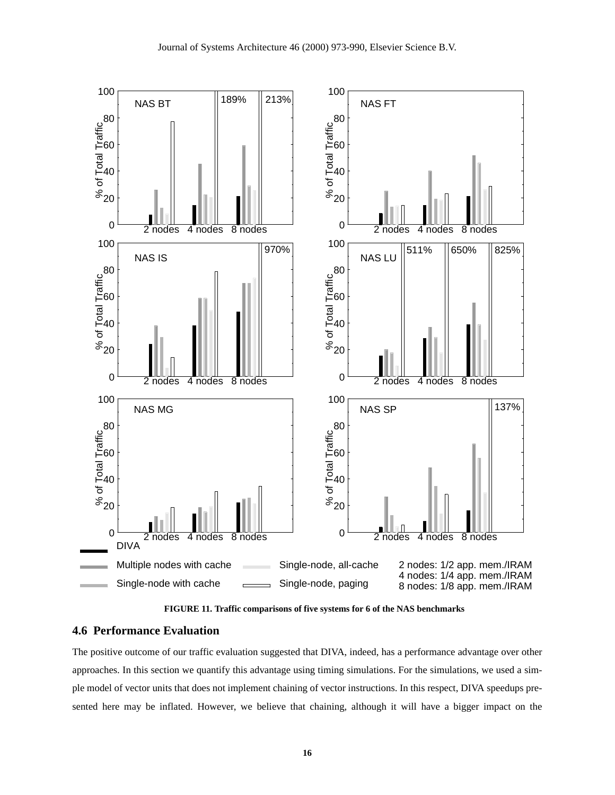

**FIGURE 11. Traffic comparisons of five systems for 6 of the NAS benchmarks**

#### **4.6 Performance Evaluation**

The positive outcome of our traffic evaluation suggested that DIVA, indeed, has a performance advantage over other approaches. In this section we quantify this advantage using timing simulations. For the simulations, we used a simple model of vector units that does not implement chaining of vector instructions. In this respect, DIVA speedups presented here may be inflated. However, we believe that chaining, although it will have a bigger impact on the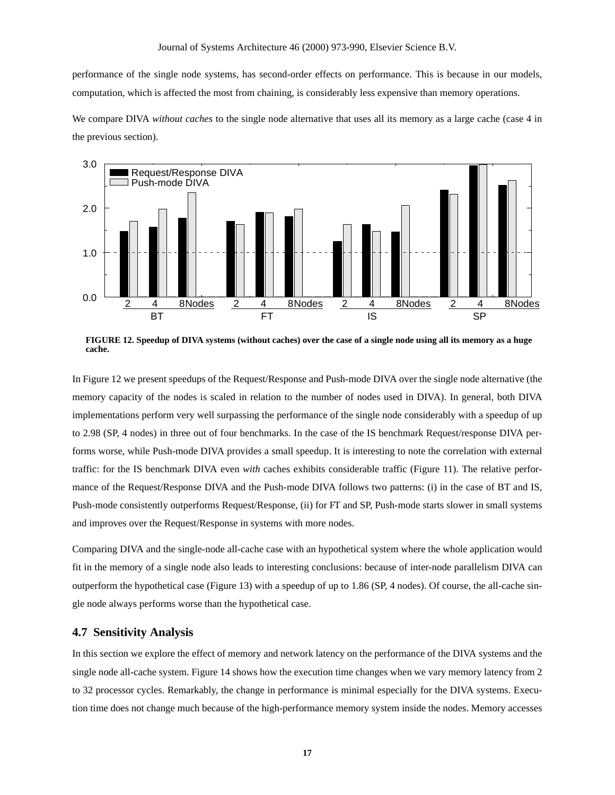performance of the single node systems, has second-order effects on performance. This is because in our models, computation, which is affected the most from chaining, is considerably less expensive than memory operations.

We compare DIVA *without caches* to the single node alternative that uses all its memory as a large cache (case 4 in the previous section).



**FIGURE 12. Speedup of DIVA systems (without caches) over the case of a single node using all its memory as a huge cache.**

In Figure 12 we present speedups of the Request/Response and Push-mode DIVA over the single node alternative (the memory capacity of the nodes is scaled in relation to the number of nodes used in DIVA). In general, both DIVA implementations perform very well surpassing the performance of the single node considerably with a speedup of up to 2.98 (SP, 4 nodes) in three out of four benchmarks. In the case of the IS benchmark Request/response DIVA performs worse, while Push-mode DIVA provides a small speedup. It is interesting to note the correlation with external traffic: for the IS benchmark DIVA even *with* caches exhibits considerable traffic (Figure 11). The relative performance of the Request/Response DIVA and the Push-mode DIVA follows two patterns: (i) in the case of BT and IS, Push-mode consistently outperforms Request/Response, (ii) for FT and SP, Push-mode starts slower in small systems and improves over the Request/Response in systems with more nodes.

Comparing DIVA and the single-node all-cache case with an hypothetical system where the whole application would fit in the memory of a single node also leads to interesting conclusions: because of inter-node parallelism DIVA can outperform the hypothetical case (Figure 13) with a speedup of up to 1.86 (SP, 4 nodes). Of course, the all-cache single node always performs worse than the hypothetical case.

#### **4.7 Sensitivity Analysis**

In this section we explore the effect of memory and network latency on the performance of the DIVA systems and the single node all-cache system. Figure 14 shows how the execution time changes when we vary memory latency from 2 to 32 processor cycles. Remarkably, the change in performance is minimal especially for the DIVA systems. Execution time does not change much because of the high-performance memory system inside the nodes. Memory accesses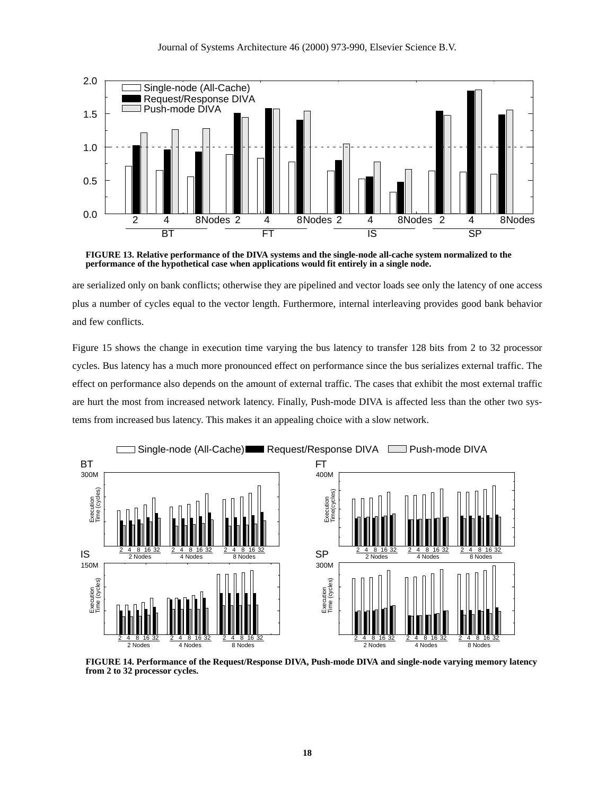

**FIGURE 13. Relative performance of the DIVA systems and the single-node all-cache system normalized to the performance of the hypothetical case when applications would fit entirely in a single node.**

are serialized only on bank conflicts; otherwise they are pipelined and vector loads see only the latency of one access plus a number of cycles equal to the vector length. Furthermore, internal interleaving provides good bank behavior and few conflicts.

Figure 15 shows the change in execution time varying the bus latency to transfer 128 bits from 2 to 32 processor cycles. Bus latency has a much more pronounced effect on performance since the bus serializes external traffic. The effect on performance also depends on the amount of external traffic. The cases that exhibit the most external traffic are hurt the most from increased network latency. Finally, Push-mode DIVA is affected less than the other two systems from increased bus latency. This makes it an appealing choice with a slow network.



**FIGURE 14. Performance of the Request/Response DIVA, Push-mode DIVA and single-node varying memory latency from 2 to 32 processor cycles.**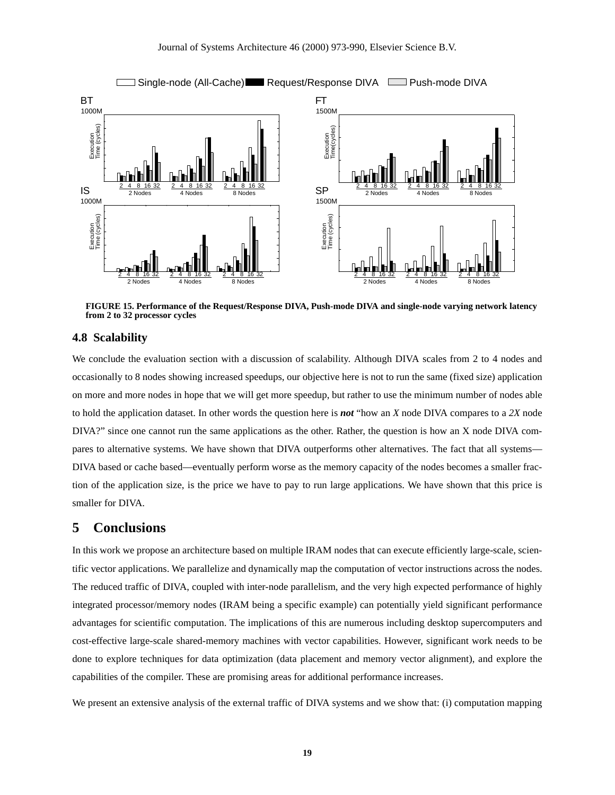

**FIGURE 15. Performance of the Request/Response DIVA, Push-mode DIVA and single-node varying network latency from 2 to 32 processor cycles**

#### **4.8 Scalability**

We conclude the evaluation section with a discussion of scalability. Although DIVA scales from 2 to 4 nodes and occasionally to 8 nodes showing increased speedups, our objective here is not to run the same (fixed size) application on more and more nodes in hope that we will get more speedup, but rather to use the minimum number of nodes able to hold the application dataset. In other words the question here is *not* "how an *X* node DIVA compares to a *2X* node DIVA?" since one cannot run the same applications as the other. Rather, the question is how an X node DIVA compares to alternative systems. We have shown that DIVA outperforms other alternatives. The fact that all systems— DIVA based or cache based—eventually perform worse as the memory capacity of the nodes becomes a smaller fraction of the application size, is the price we have to pay to run large applications. We have shown that this price is smaller for DIVA.

## **5 Conclusions**

In this work we propose an architecture based on multiple IRAM nodes that can execute efficiently large-scale, scientific vector applications. We parallelize and dynamically map the computation of vector instructions across the nodes. The reduced traffic of DIVA, coupled with inter-node parallelism, and the very high expected performance of highly integrated processor/memory nodes (IRAM being a specific example) can potentially yield significant performance advantages for scientific computation. The implications of this are numerous including desktop supercomputers and cost-effective large-scale shared-memory machines with vector capabilities. However, significant work needs to be done to explore techniques for data optimization (data placement and memory vector alignment), and explore the capabilities of the compiler. These are promising areas for additional performance increases.

We present an extensive analysis of the external traffic of DIVA systems and we show that: (i) computation mapping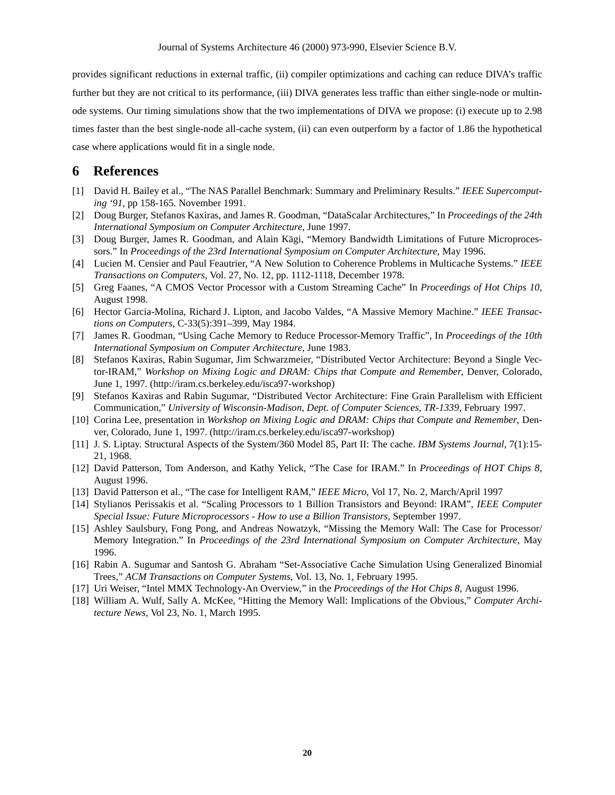provides significant reductions in external traffic, (ii) compiler optimizations and caching can reduce DIVA's traffic further but they are not critical to its performance, (iii) DIVA generates less traffic than either single-node or multinode systems. Our timing simulations show that the two implementations of DIVA we propose: (i) execute up to 2.98 times faster than the best single-node all-cache system, (ii) can even outperform by a factor of 1.86 the hypothetical case where applications would fit in a single node.

# **6 References**

- [1] David H. Bailey et al., "The NAS Parallel Benchmark: Summary and Preliminary Results." *IEEE Supercomputing '91*, pp 158-165. November 1991.
- [2] Doug Burger, Stefanos Kaxiras, and James R. Goodman, "DataScalar Architectures," In *Proceedings of the 24th International Symposium on Computer Architecture*, June 1997.
- [3] Doug Burger, James R. Goodman, and Alain Kägi, "Memory Bandwidth Limitations of Future Microprocessors." In *Proceedings of the 23rd International Symposium on Computer Architecture*, May 1996.
- [4] Lucien M. Censier and Paul Feautrier, "A New Solution to Coherence Problems in Multicache Systems." *IEEE Transactions on Computers*, Vol. 27, No. 12, pp. 1112-1118, December 1978.
- [5] Greg Faanes, "A CMOS Vector Processor with a Custom Streaming Cache" In *Proceedings of Hot Chips 10*, August 1998.
- [6] Hector Garcia-Molina, Richard J. Lipton, and Jacobo Valdes, "A Massive Memory Machine." *IEEE Transactions on Computers*, C-33(5):391–399, May 1984.
- [7] James R. Goodman, "Using Cache Memory to Reduce Processor-Memory Traffic", In *Proceedings of the 10th International Symposium on Computer Architecture*, June 1983.
- [8] Stefanos Kaxiras, Rabin Sugumar, Jim Schwarzmeier, "Distributed Vector Architecture: Beyond a Single Vector-IRAM," *Workshop on Mixing Logic and DRAM: Chips that Compute and Remember*, Denver, Colorado, June 1, 1997. (http://iram.cs.berkeley.edu/isca97-workshop)
- [9] Stefanos Kaxiras and Rabin Sugumar, "Distributed Vector Architecture: Fine Grain Parallelism with Efficient Communication," *University of Wisconsin-Madison, Dept. of Computer Sciences, TR-1339*, February 1997.
- [10] Corina Lee, presentation in *Workshop on Mixing Logic and DRAM: Chips that Compute and Remember*, Denver, Colorado, June 1, 1997. (http://iram.cs.berkeley.edu/isca97-workshop)
- [11] J. S. Liptay. Structural Aspects of the System/360 Model 85, Part II: The cache. *IBM Systems Journal*, 7(1):15- 21, 1968.
- [12] David Patterson, Tom Anderson, and Kathy Yelick, "The Case for IRAM." In *Proceedings of HOT Chips 8*, August 1996.
- [13] David Patterson et al., "The case for Intelligent RAM," *IEEE Micro*, Vol 17, No. 2, March/April 1997
- [14] Stylianos Perissakis et al. "Scaling Processors to 1 Billion Transistors and Beyond: IRAM", *IEEE Computer Special Issue: Future Microprocessors - How to use a Billion Transistors*, September 1997.
- [15] Ashley Saulsbury, Fong Pong, and Andreas Nowatzyk, "Missing the Memory Wall: The Case for Processor/ Memory Integration." In *Proceedings of the 23rd International Symposium on Computer Architecture*, May 1996.
- [16] Rabin A. Sugumar and Santosh G. Abraham "Set-Associative Cache Simulation Using Generalized Binomial Trees," *ACM Transactions on Computer Systems*, Vol. 13, No. 1, February 1995.
- [17] Uri Weiser, "Intel MMX Technology-An Overview," in the *Proceedings of the Hot Chips 8*, August 1996.
- [18] William A. Wulf, Sally A. McKee, "Hitting the Memory Wall: Implications of the Obvious," *Computer Architecture News,* Vol 23, No. 1, March 1995.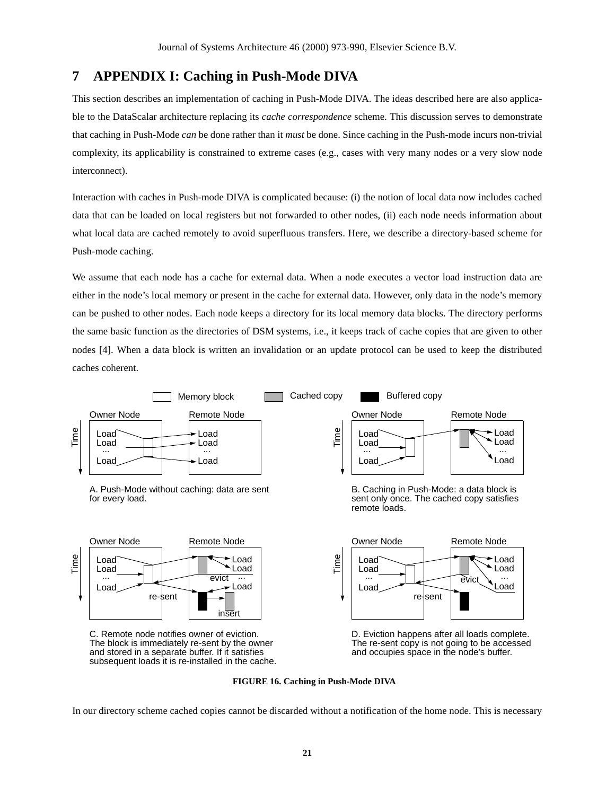# **7 APPENDIX I: Caching in Push-Mode DIVA**

This section describes an implementation of caching in Push-Mode DIVA. The ideas described here are also applicable to the DataScalar architecture replacing its *cache correspondence* scheme. This discussion serves to demonstrate that caching in Push-Mode *can* be done rather than it *must* be done. Since caching in the Push-mode incurs non-trivial complexity, its applicability is constrained to extreme cases (e.g., cases with very many nodes or a very slow node interconnect).

Interaction with caches in Push-mode DIVA is complicated because: (i) the notion of local data now includes cached data that can be loaded on local registers but not forwarded to other nodes, (ii) each node needs information about what local data are cached remotely to avoid superfluous transfers. Here, we describe a directory-based scheme for Push-mode caching.

We assume that each node has a cache for external data. When a node executes a vector load instruction data are either in the node's local memory or present in the cache for external data. However, only data in the node's memory can be pushed to other nodes. Each node keeps a directory for its local memory data blocks. The directory performs the same basic function as the directories of DSM systems, i.e., it keeps track of cache copies that are given to other nodes [4]. When a data block is written an invalidation or an update protocol can be used to keep the distributed caches coherent.



**FIGURE 16. Caching in Push-Mode DIVA**

In our directory scheme cached copies cannot be discarded without a notification of the home node. This is necessary